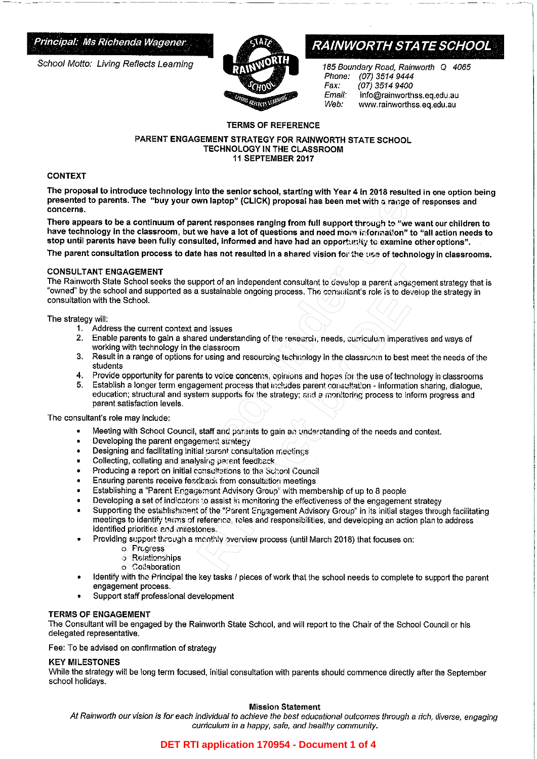School Motto: Living Reflects Learning



# Principal: Ms Richenda Wagener **RAINWORTH STATE SCHOOL**

185 Boundary Road, Rainworth Q 4065<br>Phone: (07) 3514 9444 Phone: (07) 3514 9444 Fax: (07) 3514 9400<br>*Email:* info@rainworth Email: info@rainworthss.eq.edu.au<br>Web: www.rainworthss.eq.edu.au Web: www.rainworthss.eq.edu.au

### TERMS OF REFERENCE

#### PARENT ENGAGEMENT STRATEGY FOR RAINWORTH STATE SCHOOL TECHNOLOGY IN THE CLASSROOM 11 SEPTEMBER 2017

#### CONTEXT

The proposal to introduce technology into the senior school, starting with Year 4 in 2018 resulted in one option being presented to parents. The "buy your own laptop" {CLICK) proposal has been met with a range of responses and **concerns.** 

There appears to be a continuum of parent responses ranging from full support through to "we want our children to have technology in the classroom, but we have a lot of questions and need more information" to "all action needs to stop until parents have been fully consulted, informed and have had an opportunity to examine other options". **Release to the system in the system of CLICK)** proposal has been met with a range of<br>e.s. continuum of parent responses ranging from full support through to "we wit<br>the classroom, but we have a lot of questions and need m

The parent consultation process to date has not resulted in a shared vision for the use of technology in classrooms.

#### CONSULTANT ENGAGEMENT

The Rainworth State School seeks the support of an independent consultant to develop a parent engagement strategy that is "owned" by the school and supported as a sustainable ongoing process. The consultant's role is to develop the strategy in consultation with the School.

#### The strategy will:

- 1. Address the current context and issues<br>2. Enable parents to gain a shared unders
- Enable parents to gain a shared understanding of the research, needs, curriculum imperatives and ways of working with technology in the classroom
- 3. Result in a range of options for using and resourcing technology in the classroom to best meet the needs of the students
- 4. Provide opportunity for parents to voice concerns, opinions and hopes for the use of technology in classrooms<br>5. Establish a longer term engagement process that includes parent consultation information sharing, dialog
- 5. Establish a longer term engagement process that includes parent consultation information sharing, dialogue, education; structural and system supports for the strategy; and a monitoring process to inform progress and parent satisfaction levels.

The consultant's role may include:

- Meeting with School Council, staff and parents to gain an understanding of the needs and context.
- Developing the parent engagement strategy
- Designing and facilitating initial parent consultation meetings
- Collecting, collating and analysing parent feedback
- Producing a report on initial consultations to the School Council
- Ensuring parents receive feedback from consultation meetings
- Establishing a "Parent Engagement Advisory Group" with membership of up to 8 people
- Developing a set of indicators to assist in monitoring the effectiveness of the engagement strategy
- Supporting the establishment of the "Parent Engagement Advisory Group" in its initial stages through facilitating meetings to identify terms of reference, roles and responsibilities, and developing an action plan to address identified priorities and milestones. pport of an independent consultant to develop a parent engagement sustainable ongoing process. The consultient's role is to develop<br>and issues<br>and issues<br>red understanding of the research, needs, curriculum imperatives<br>cor
- Providing support through a monthly overview process {until March 2018) that focuses on:
	- o Progress
	- o Relationships
	- o Collaboration
- Identify with the Principal the key tasks / pieces of work that the school needs to complete to support the parent engagement process.
- Support staff professional development

#### TERMS OF ENGAGEMENT

The Consultant will be engaged by the Rainworth State School, and will report to the Chair of the School Council or his delegated representative.

Fee: To be advised on confirmation of strategy

#### KEY MILESTONES

While the strategy will be long term focused, initial consultation with parents should commence directly after the September school holidays.

#### Mission Statement

Al Rainworth our vision is for each individual to achieve the best educational outcomes through a rich, diverse, engaging curriculum in a happy, safe, and healthy community.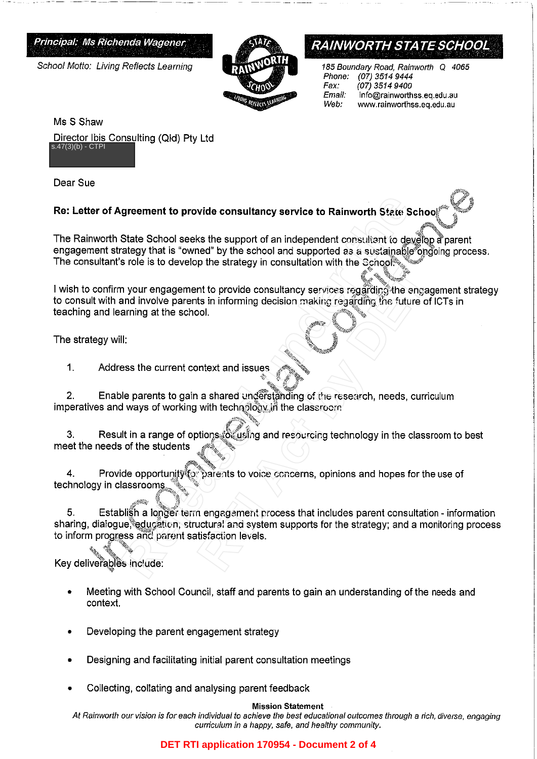Principal; Ms Richenda Wagener

School Motto: Living Reflects Learning



# **RAINWORTH STATE SCHOOL**

185 Boundary Road, Rainworth Q 4065<br>Phone: (07) 3514 9444 Phone: (07) 3514 9444 Fax: (07) 3514 9400<br>Email: info@rainworth E*mail:* info@rainworthss.eq.edu.au<br>We*b:* www.rainworthss.eq.edu.au Web: www.rainworthss.eq.edu.au

a, 4

'\,, <sup>~</sup>'q):X;,,ff·

Ms S Shaw Director Ibis Consulting (Qld) Pty Ltd  $s.47(3)(b) - CTPI$ 

Dear Sue

## **Re: Letter of Agreement to provide consultancy service to Rainworth State Schoo**

The Rainworth State School seeks the support of an independent consultant to develop a parent engagement strategy that is "owned" by the school and supported as a sustainable ongoing process. The consultant's role is to develop the strategy in consultation with the School: $\,\mathrm{e}$ 

~to \*\* I wish to confirm your engagement to provide consultancy services regarding<sup>4</sup>the engagement strategy to consult with and involve parents in informing decision making regarding the future of ICTs in teaching and learning at the school.

The strategy will:

1. Address the current context and issues

 $\int_{0}^{\frac{\pi}{2}}$ 2. Enable parents to gain a shared understanding of the research, needs, curriculum imperatives and ways of working with tech **ology** in the classroom

·0-

3. Result in a range of options for using and resourcing technology in the classroom to best meet the needs of the students

4. Provide opportunity for parents to voice concerns, opinions and hopes for the use of technology in classrooms

*4-;iZ'''\*"&:* ,? 5. Establish a longer term engagement process that includes parent consultation - information sharing, dialogue, education; structural and system supports for the strategy; and a monitoring process to inform progress and parent satisfaction levels. **State School seeks the support of an independent consultant to develop that is "ownerd" by the school seeks the support of an independent consultant to develop the state spy their state of an independent consultation with** For the distribution with the conduction with the conduction<br>
Internation of the enganglering the enganglering decision making regarding the engand<br>
Sol.<br>
Represents and issues<br>
The future of the section of the section, ne

Key deliverables include:

- Meeting with School Council, staff and parents to gain an understanding of the needs and context.
- Developing the parent engagement strategy
- Designing and facilitating initial parent consultation meetings
- Collecting, collating and analysing parent feedback

#### Mission Statement

At Rainworth our vision is for each individual to achieve the best educational outcomes through a rich, diverse, engaging curriculum in a happy, safe, and healthy community.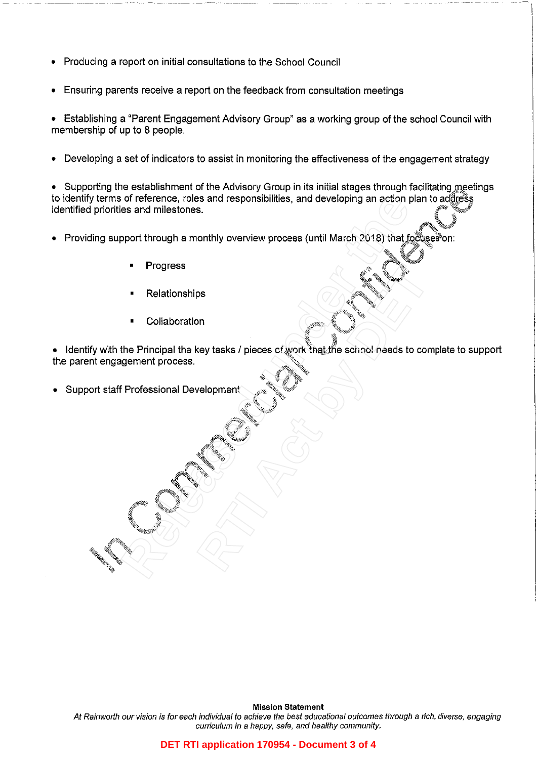- Producing a report on initial consultations to the School Council
- Ensuring parents receive a report on the feedback from consultation meetings

• Establishing a "Parent Engagement Advisory Group" as a working group of the school Council with membership of up to 8 people.

• Developing a set of indicators to assist in monitoring the effectiveness of the engagement strategy

• Supporting the establishment of the Advisory Group in its initial stages through facilitating meetings to identify terms of reference, roles and responsibilities, and developing an action plan to address identified priorities and milestones.

¥}

- Providing support through a monthly overview process (until March 2018) that focuses on:
	- **Progress**
	- Relationships
	- Collaboration

 $\bullet$  Identify with the Principal the key tasks / pieces of work that the school needs to complete to support the parent engagement process. 192 %- Free Collaboration<br>
Release and milestones.<br>
Progress<br>
Relationships<br>
Collaboration<br>
The Principal the key tasks / pieces of work that the school needs to compute<br>
Relationships<br>
Collaboration<br>
Relationships<br> **Relationship** ps<br> **Rey tasks / pieces of work final the school needs to contrary for the property of the school needs to contrary for the school needs to contrary of the school needs to contrary for the school needs to contrary of the s** 

~')

" ''~\\~.li\_;,Jf?'

{itt~4 · *·W~*  !{.(''::;,~,,'<,, \1,;, .• ,

 $\int_{0}^{\frac{1}{2}+i\pi/4}dx$ 

Support staff Professional Development

Mission Statement At Rainworth our vision is for each individual to achieve the best educational outcomes through a rich, diverse, engaging curriculum in a happy, safe, and healthy community.